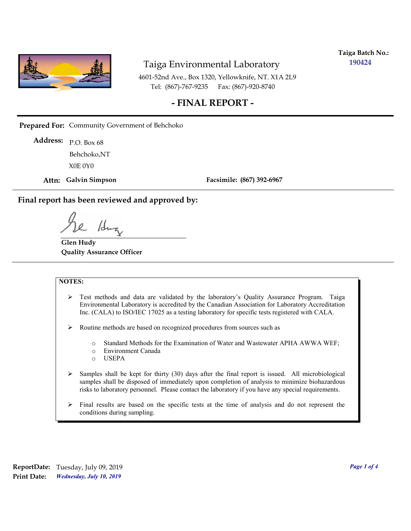

**Taiga Batch No.: 190424**

4601-52nd Ave., Box 1320, Yellowknife, NT. X1A 2L9 Tel: (867)-767-9235 Fax: (867)-920-8740

#### **- FINAL REPORT -**

**Prepared For:** Community Government of Behchoko

P.O. Box 68 **Address:** X0E 0Y0 Behchoko,NT

**Attn: Galvin Simpson**

**Facsimile: (867) 392-6967**

**Final report has been reviewed and approved by:**

1dr

**Glen Hudy Quality Assurance Officer**

#### **NOTES:**

- $\triangleright$  Test methods and data are validated by the laboratory's Quality Assurance Program. Taiga Environmental Laboratory is accredited by the Canadian Association for Laboratory Accreditation Inc. (CALA) to ISO/IEC 17025 as a testing laboratory for specific tests registered with CALA.
- Routine methods are based on recognized procedures from sources such as
	- o Standard Methods for the Examination of Water and Wastewater APHA AWWA WEF;
	- o Environment Canada
	- o USEPA
- $\triangleright$  Samples shall be kept for thirty (30) days after the final report is issued. All microbiological samples shall be disposed of immediately upon completion of analysis to minimize biohazardous risks to laboratory personnel. Please contact the laboratory if you have any special requirements.
- $\triangleright$  Final results are based on the specific tests at the time of analysis and do not represent the conditions during sampling.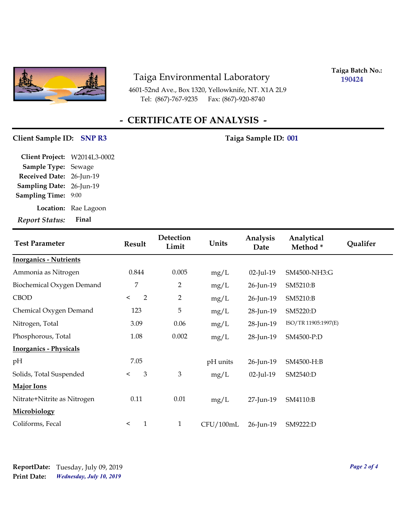

4601-52nd Ave., Box 1320, Yellowknife, NT. X1A 2L9 Tel: (867)-767-9235

**Taiga Batch No.: 190424**

## **- CERTIFICATE OF ANALYSIS -**

#### Client Sample ID: SNP R3 Taiga Sample ID: 001

| Final<br>Report Status:      |
|------------------------------|
| Location: Rae Lagoon         |
| <b>Sampling Time: 9:00</b>   |
| Sampling Date: 26-Jun-19     |
| Received Date: 26-Jun-19     |
| Sample Type: Sewage          |
| Client Project: W2014L3-0002 |
|                              |

| <b>Test Parameter</b>         | <b>Result</b>           | Detection<br>Limit | Units     | Analysis<br>Date | Analytical<br>Method* | Qualifer |
|-------------------------------|-------------------------|--------------------|-----------|------------------|-----------------------|----------|
| <b>Inorganics - Nutrients</b> |                         |                    |           |                  |                       |          |
| Ammonia as Nitrogen           | 0.844                   | 0.005              | mg/L      | $02$ -Jul-19     | SM4500-NH3:G          |          |
| Biochemical Oxygen Demand     | 7                       | 2                  | mg/L      | 26-Jun-19        | SM5210:B              |          |
| <b>CBOD</b>                   | $\overline{2}$<br>$\lt$ | $\overline{2}$     | mg/L      | 26-Jun-19        | SM5210:B              |          |
| Chemical Oxygen Demand        | 123                     | 5                  | mg/L      | 28-Jun-19        | SM5220:D              |          |
| Nitrogen, Total               | 3.09                    | 0.06               | mg/L      | 28-Jun-19        | ISO/TR 11905:1997(E)  |          |
| Phosphorous, Total            | 1.08                    | 0.002              | mg/L      | 28-Jun-19        | SM4500-P:D            |          |
| <b>Inorganics - Physicals</b> |                         |                    |           |                  |                       |          |
| pH                            | 7.05                    |                    | pH units  | 26-Jun-19        | SM4500-H:B            |          |
| Solids, Total Suspended       | $\mathfrak{B}$<br>$\lt$ | 3                  | mg/L      | $02$ -Jul-19     | SM2540:D              |          |
| <b>Major Ions</b>             |                         |                    |           |                  |                       |          |
| Nitrate+Nitrite as Nitrogen   | 0.11                    | 0.01               | mg/L      | 27-Jun-19        | SM4110:B              |          |
| Microbiology                  |                         |                    |           |                  |                       |          |
| Coliforms, Fecal              | 1<br>$\prec$            | $\mathbf{1}$       | CFU/100mL | 26-Jun-19        | SM9222:D              |          |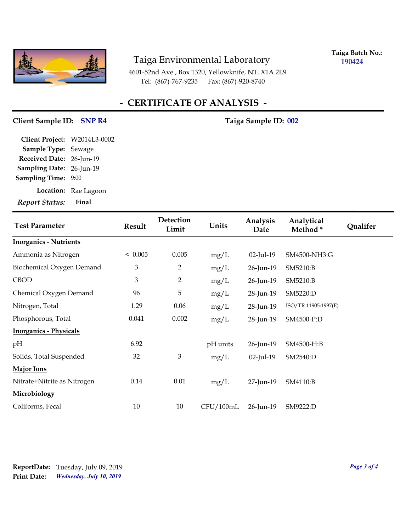

**Taiga Batch No.: 190424**

4601-52nd Ave., Box 1320, Yellowknife, NT. X1A 2L9 Tel: (867)-767-9235 Fax: (867)-920-8740

## **- CERTIFICATE OF ANALYSIS -**

#### Client Sample ID: SNP R4 Taiga Sample ID: 002

| <b>Report Status:</b>           | Final                |
|---------------------------------|----------------------|
|                                 | Location: Rae Lagoon |
| <b>Sampling Time:</b>           | 9:00                 |
| <b>Sampling Date: 26-Jun-19</b> |                      |
| Received Date: 26-Jun-19        |                      |
| Sample Type: Sewage             |                      |
| Client Project: W2014L3-0002    |                      |

| <b>Test Parameter</b>         | Result                      | Detection<br>Limit | Units     | Analysis<br>Date | Analytical<br>Method* | <b>Qualifer</b> |
|-------------------------------|-----------------------------|--------------------|-----------|------------------|-----------------------|-----------------|
| <b>Inorganics - Nutrients</b> |                             |                    |           |                  |                       |                 |
| Ammonia as Nitrogen           | < 0.005                     | 0.005              | mg/L      | 02-Jul-19        | SM4500-NH3:G          |                 |
| Biochemical Oxygen Demand     | 3                           | 2                  | mg/L      | 26-Jun-19        | SM5210:B              |                 |
| <b>CBOD</b>                   | $\ensuremath{\mathfrak{Z}}$ | 2                  | mg/L      | 26-Jun-19        | SM5210:B              |                 |
| Chemical Oxygen Demand        | 96                          | 5                  | mg/L      | 28-Jun-19        | SM5220:D              |                 |
| Nitrogen, Total               | 1.29                        | 0.06               | mg/L      | 28-Jun-19        | ISO/TR 11905:1997(E)  |                 |
| Phosphorous, Total            | 0.041                       | 0.002              | mg/L      | 28-Jun-19        | SM4500-P:D            |                 |
| <b>Inorganics - Physicals</b> |                             |                    |           |                  |                       |                 |
| pН                            | 6.92                        |                    | pH units  | 26-Jun-19        | SM4500-H:B            |                 |
| Solids, Total Suspended       | 32                          | 3                  | mg/L      | 02-Jul-19        | SM2540:D              |                 |
| <b>Major Ions</b>             |                             |                    |           |                  |                       |                 |
| Nitrate+Nitrite as Nitrogen   | 0.14                        | 0.01               | mg/L      | 27-Jun-19        | SM4110:B              |                 |
| <b>Microbiology</b>           |                             |                    |           |                  |                       |                 |
| Coliforms, Fecal              | $10\,$                      | 10                 | CFU/100mL | 26-Jun-19        | SM9222:D              |                 |